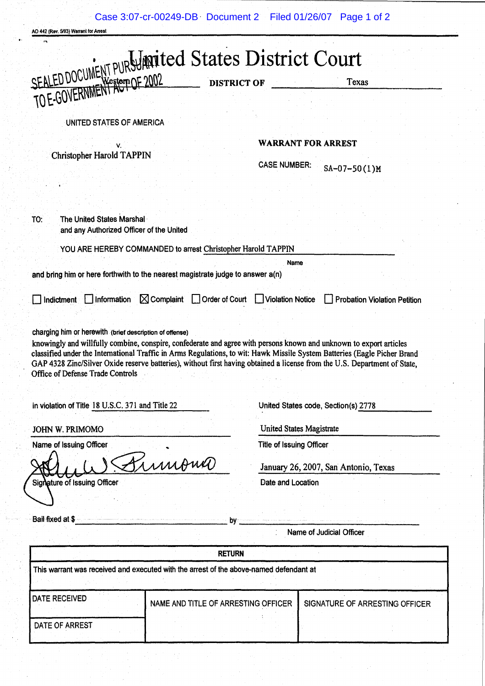AO 442 (Rev. 5193) Warrenl for Arresl

|                                                                                                                                                                                                                                                                                                                                                                                                                                                                                                                                                    | Texas                                                          |
|----------------------------------------------------------------------------------------------------------------------------------------------------------------------------------------------------------------------------------------------------------------------------------------------------------------------------------------------------------------------------------------------------------------------------------------------------------------------------------------------------------------------------------------------------|----------------------------------------------------------------|
| SEALED DOCUMENT PURSUMPRITED States District Court                                                                                                                                                                                                                                                                                                                                                                                                                                                                                                 |                                                                |
| UNITED STATES OF AMERICA                                                                                                                                                                                                                                                                                                                                                                                                                                                                                                                           |                                                                |
|                                                                                                                                                                                                                                                                                                                                                                                                                                                                                                                                                    | <b>WARRANT FOR ARREST</b>                                      |
| <b>Christopher Harold TAPPIN</b>                                                                                                                                                                                                                                                                                                                                                                                                                                                                                                                   | <b>CASE NUMBER:</b><br>$SA-07-50(1)M$                          |
|                                                                                                                                                                                                                                                                                                                                                                                                                                                                                                                                                    |                                                                |
|                                                                                                                                                                                                                                                                                                                                                                                                                                                                                                                                                    |                                                                |
| TO:<br>The United States Marshal<br>and any Authorized Officer of the United                                                                                                                                                                                                                                                                                                                                                                                                                                                                       |                                                                |
| YOU ARE HEREBY COMMANDED to arrest Christopher Harold TAPPIN                                                                                                                                                                                                                                                                                                                                                                                                                                                                                       |                                                                |
|                                                                                                                                                                                                                                                                                                                                                                                                                                                                                                                                                    | Name                                                           |
| and bring him or here forthwith to the nearest magistrate judge to answer a(n)                                                                                                                                                                                                                                                                                                                                                                                                                                                                     |                                                                |
| $\boxtimes$ Complaint<br>Order of Court<br>Information<br>Indictment                                                                                                                                                                                                                                                                                                                                                                                                                                                                               | <b>Violation Notice</b><br><b>Probation Violation Petition</b> |
|                                                                                                                                                                                                                                                                                                                                                                                                                                                                                                                                                    |                                                                |
|                                                                                                                                                                                                                                                                                                                                                                                                                                                                                                                                                    | United States code, Section(s) 2778                            |
| charging him or herewith (brief description of offense)<br>knowingly and willfully combine, conspire, confederate and agree with persons known and unknown to export articles<br>classified under the International Traffic in Arms Regulations, to wit: Hawk Missile System Batteries (Eagle Picher Brand<br>GAP 4328 Zinc/Silver Oxide reserve batteries), without first having obtained a license from the U.S. Department of State,<br>Office of Defense Trade Controls<br>in violation of Title 18 U.S.C. 371 and Title 22<br>JOHN W. PRIMOMO | <b>United States Magistrate</b>                                |
|                                                                                                                                                                                                                                                                                                                                                                                                                                                                                                                                                    | <b>Title of Issuing Officer</b>                                |
|                                                                                                                                                                                                                                                                                                                                                                                                                                                                                                                                                    |                                                                |
| Name of Issuing Officer<br>Pumono                                                                                                                                                                                                                                                                                                                                                                                                                                                                                                                  | January 26, 2007, San Antonio, Texas<br>Date and Location      |
|                                                                                                                                                                                                                                                                                                                                                                                                                                                                                                                                                    |                                                                |
|                                                                                                                                                                                                                                                                                                                                                                                                                                                                                                                                                    |                                                                |
|                                                                                                                                                                                                                                                                                                                                                                                                                                                                                                                                                    | Name of Judicial Officer                                       |
|                                                                                                                                                                                                                                                                                                                                                                                                                                                                                                                                                    |                                                                |
| <b>RETURN</b>                                                                                                                                                                                                                                                                                                                                                                                                                                                                                                                                      |                                                                |
| Signature of Issuing Officer<br>Bail fixed at \$<br>This warrant was received and executed with the arrest of the above-named defendant at                                                                                                                                                                                                                                                                                                                                                                                                         |                                                                |